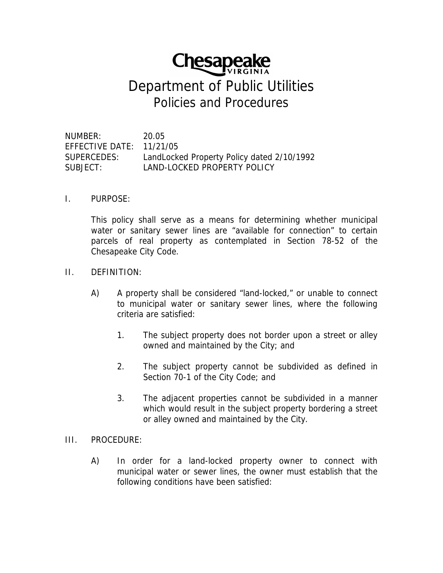

# Department of Public Utilities Policies and Procedures

NUMBER: 20.05 EFFECTIVE DATE: 11/21/05 SUPERCEDES: LandLocked Property Policy dated 2/10/1992 SUBJECT: LAND-LOCKED PROPERTY POLICY

I. PURPOSE:

This policy shall serve as a means for determining whether municipal water or sanitary sewer lines are "available for connection" to certain parcels of real property as contemplated in Section 78-52 of the Chesapeake City Code.

- II. DEFINITION:
	- A) A property shall be considered "land-locked," or unable to connect to municipal water or sanitary sewer lines, where the following criteria are satisfied:
		- 1. The subject property does not border upon a street or alley owned and maintained by the City; and
		- 2. The subject property cannot be subdivided as defined in Section 70-1 of the City Code; and
		- 3. The adjacent properties cannot be subdivided in a manner which would result in the subject property bordering a street or alley owned and maintained by the City.
- III. PROCEDURE:
	- A) In order for a land-locked property owner to connect with municipal water or sewer lines, the owner must establish that the following conditions have been satisfied: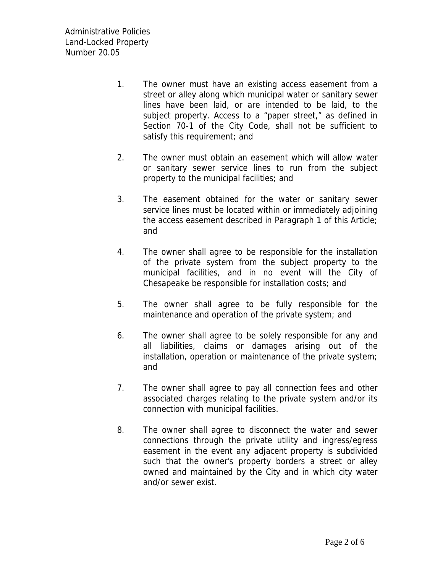- 1. The owner must have an existing access easement from a street or alley along which municipal water or sanitary sewer lines have been laid, or are intended to be laid, to the subject property. Access to a "paper street," as defined in Section 70-1 of the City Code, shall not be sufficient to satisfy this requirement; and
- 2. The owner must obtain an easement which will allow water or sanitary sewer service lines to run from the subject property to the municipal facilities; and
- 3. The easement obtained for the water or sanitary sewer service lines must be located within or immediately adjoining the access easement described in Paragraph 1 of this Article; and
- 4. The owner shall agree to be responsible for the installation of the private system from the subject property to the municipal facilities, and in no event will the City of Chesapeake be responsible for installation costs; and
- 5. The owner shall agree to be fully responsible for the maintenance and operation of the private system; and
- 6. The owner shall agree to be solely responsible for any and all liabilities, claims or damages arising out of the installation, operation or maintenance of the private system; and
- 7. The owner shall agree to pay all connection fees and other associated charges relating to the private system and/or its connection with municipal facilities.
- 8. The owner shall agree to disconnect the water and sewer connections through the private utility and ingress/egress easement in the event any adjacent property is subdivided such that the owner's property borders a street or alley owned and maintained by the City and in which city water and/or sewer exist.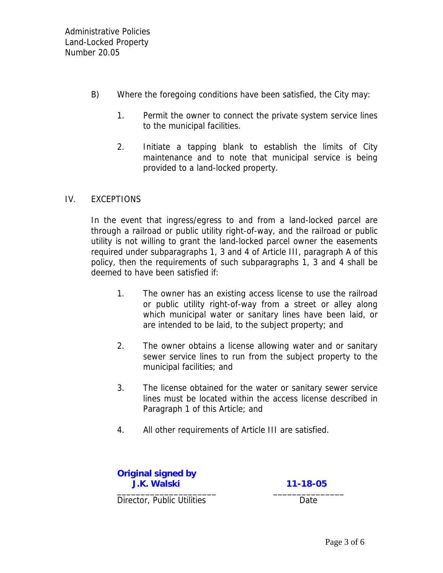- B) Where the foregoing conditions have been satisfied, the City may:
	- 1. Permit the owner to connect the private system service lines to the municipal facilities.
	- 2. Initiate a tapping blank to establish the limits of City maintenance and to note that municipal service is being provided to a land-locked property.

## IV. EXCEPTIONS

In the event that ingress/egress to and from a land-locked parcel are through a railroad or public utility right-of-way, and the railroad or public utility is not willing to grant the land-locked parcel owner the easements required under subparagraphs 1, 3 and 4 of Article III, paragraph A of this policy, then the requirements of such subparagraphs 1, 3 and 4 shall be deemed to have been satisfied if:

- 1. The owner has an existing access license to use the railroad or public utility right-of-way from a street or alley along which municipal water or sanitary lines have been laid, or are intended to be laid, to the subject property; and
- 2. The owner obtains a license allowing water and or sanitary sewer service lines to run from the subject property to the municipal facilities; and
- 3. The license obtained for the water or sanitary sewer service lines must be located within the access license described in Paragraph 1 of this Article; and
- 4. All other requirements of Article III are satisfied.

**Original signed by J.K. Walski** 11-18-05

Director, Public Utilities **Director**, Public Utilities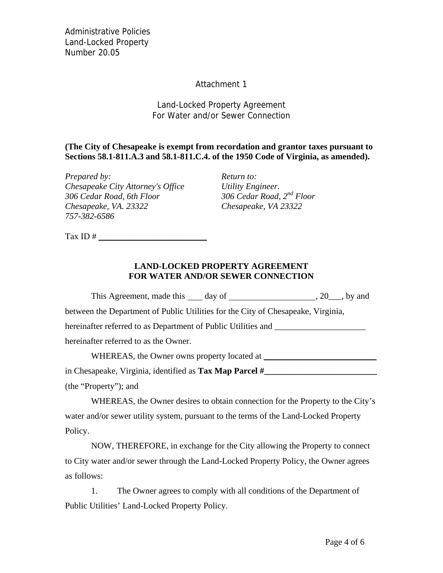Administrative Policies Land-Locked Property Number 20.05

#### Attachment 1

#### Land-Locked Property Agreement For Water and/or Sewer Connection

### **(The City of Chesapeake is exempt from recordation and grantor taxes pursuant to Sections 58.1-811.A.3 and 58.1-811.C.4. of the 1950 Code of Virginia, as amended).**

*Prepared by:* Return to: *Chesapeake City Attorney's Office Utility Engineer. 306 Cedar Road, 6th Floor 306 Cedar Road, 2nd Floor Chesapeake, VA. 23322 Chesapeake, VA 23322 757-382-6586* 

Tax ID # \_\_\_\_\_\_\_\_\_\_\_\_\_\_\_\_\_\_\_\_\_\_\_\_\_

#### **LAND-LOCKED PROPERTY AGREEMENT FOR WATER AND/OR SEWER CONNECTION**

| This Agreement, made this day of                                                 |  | $, 20 \underline{\hspace{1cm}}$ , by and |
|----------------------------------------------------------------------------------|--|------------------------------------------|
| between the Department of Public Utilities for the City of Chesapeake, Virginia, |  |                                          |
| hereinafter referred to as Department of Public Utilities and                    |  |                                          |
| hereinafter referred to as the Owner.                                            |  |                                          |

WHEREAS, the Owner owns property located at \_\_\_\_\_\_\_\_\_\_\_\_\_\_\_\_\_\_\_\_\_\_\_\_\_\_ in Chesapeake, Virginia, identified as **Tax Map Parcel #\_\_\_\_\_\_\_\_\_\_\_\_\_\_\_\_\_\_\_\_\_\_\_\_\_\_** (the "Property"); and

WHEREAS, the Owner desires to obtain connection for the Property to the City's water and/or sewer utility system, pursuant to the terms of the Land-Locked Property Policy.

NOW, THEREFORE, in exchange for the City allowing the Property to connect to City water and/or sewer through the Land-Locked Property Policy, the Owner agrees as follows:

1. The Owner agrees to comply with all conditions of the Department of Public Utilities' Land-Locked Property Policy.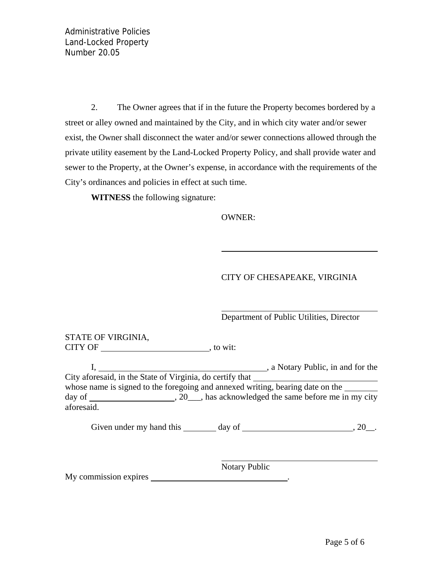2. The Owner agrees that if in the future the Property becomes bordered by a street or alley owned and maintained by the City, and in which city water and/or sewer exist, the Owner shall disconnect the water and/or sewer connections allowed through the private utility easement by the Land-Locked Property Policy, and shall provide water and sewer to the Property, at the Owner's expense, in accordance with the requirements of the City's ordinances and policies in effect at such time.

**WITNESS** the following signature:

OWNER:

## CITY OF CHESAPEAKE, VIRGINIA

#### Department of Public Utilities, Director

## STATE OF VIRGINIA,  $CITY OF$  , to wit:

I, , a Notary Public, in and for the City aforesaid, in the State of Virginia, do certify that whose name is signed to the foregoing and annexed writing, bearing date on the day of \_\_\_\_\_\_\_\_\_\_\_\_\_\_\_\_\_\_, 20\_\_\_, has acknowledged the same before me in my city aforesaid.

l

Given under my hand this  $\_\_\_\_$  day of  $\_\_\_\_\_\_\_\_$ , 20 $\_\_\_\_\_\$ .

Notary Public

My commission expires .